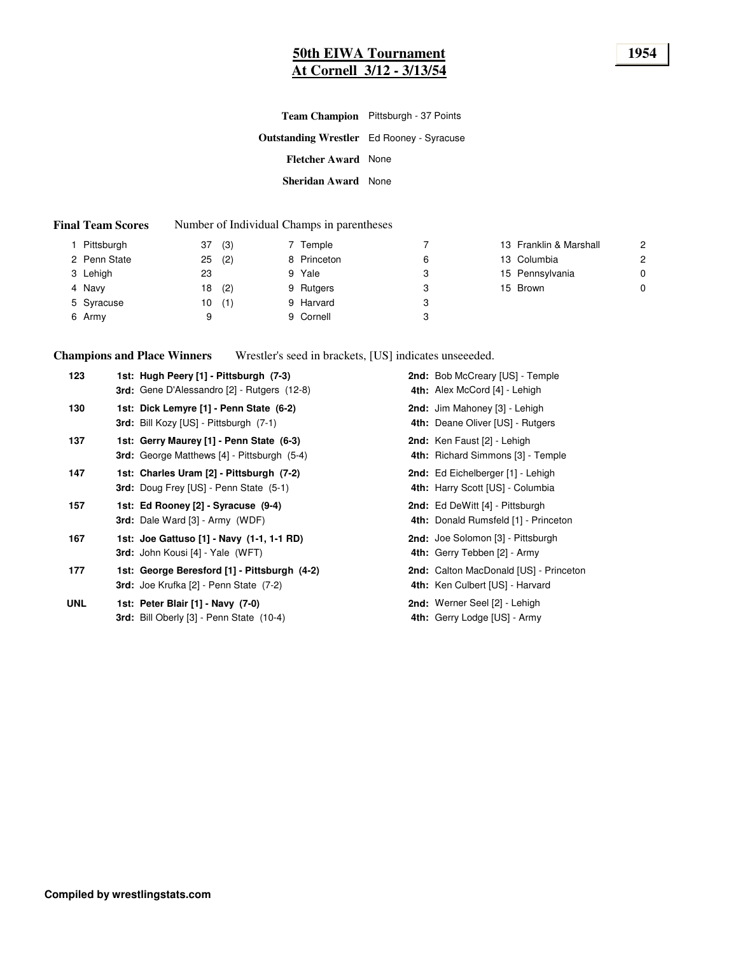# **50th EIWA Tournament 1954 At Cornell 3/12 - 3/13/54**

**Outstanding Wrestler** Ed Rooney - Syracuse **Fletcher Award** None **Sheridan Award** None **Team Champion** Pittsburgh - 37 Points

#### **Final Team Scores** Number of Individual Champs in parentheses

| Pittsburgh   | (3)<br>37 | 7 Temple    |   | 13 Franklin & Marshall | $\overline{2}$ |
|--------------|-----------|-------------|---|------------------------|----------------|
| 2 Penn State | (2)<br>25 | 8 Princeton | 6 | 13 Columbia            | 2              |
| 3 Lehigh     | 23        | 9 Yale      | 3 | 15 Pennsylvania        | $\mathbf 0$    |
| 4 Navy       | (2)<br>18 | 9 Rutgers   | 3 | 15 Brown               | 0              |
| 5 Syracuse   | (1)<br>10 | 9 Harvard   | 3 |                        |                |
| 6 Army       | a         | 9 Cornell   | 3 |                        |                |

**Champions and Place Winners** Wrestler's seed in brackets, [US] indicates unseeeded.

| 123        | 1st: Hugh Peery [1] - Pittsburgh (7-3)<br><b>3rd:</b> Gene D'Alessandro [2] - Rutgers (12-8)   | 2nd: Bob McCreary [US] - Temple<br>4th: Alex McCord [4] - Lehigh          |
|------------|------------------------------------------------------------------------------------------------|---------------------------------------------------------------------------|
| 130        | 1st: Dick Lemyre [1] - Penn State (6-2)<br>3rd: Bill Kozy [US] - Pittsburgh (7-1)              | 2nd: Jim Mahoney [3] - Lehigh<br>4th: Deane Oliver [US] - Rutgers         |
| 137        | 1st: Gerry Maurey [1] - Penn State (6-3)<br><b>3rd:</b> George Matthews [4] - Pittsburgh (5-4) | 2nd: Ken Faust [2] - Lehigh<br>4th: Richard Simmons [3] - Temple          |
| 147        | 1st: Charles Uram [2] - Pittsburgh (7-2)<br><b>3rd:</b> Doug Frey [US] - Penn State (5-1)      | 2nd: Ed Eichelberger [1] - Lehigh<br>4th: Harry Scott [US] - Columbia     |
| 157        | 1st: Ed Rooney [2] - Syracuse (9-4)<br><b>3rd:</b> Dale Ward [3] - Army (WDF)                  | 2nd: Ed DeWitt [4] - Pittsburgh<br>4th: Donald Rumsfeld [1] - Princeton   |
| 167        | 1st: Joe Gattuso [1] - Navy (1-1, 1-1 RD)<br>3rd: John Kousi [4] - Yale (WFT)                  | 2nd: Joe Solomon [3] - Pittsburgh<br>4th: Gerry Tebben [2] - Army         |
| 177        | 1st: George Beresford [1] - Pittsburgh (4-2)<br>3rd: Joe Krufka [2] - Penn State (7-2)         | 2nd: Calton MacDonald [US] - Princeton<br>4th: Ken Culbert [US] - Harvard |
| <b>UNL</b> | 1st: Peter Blair [1] - Navy (7-0)<br>3rd: Bill Oberly [3] - Penn State (10-4)                  | 2nd: Werner Seel [2] - Lehigh<br>4th: Gerry Lodge [US] - Army             |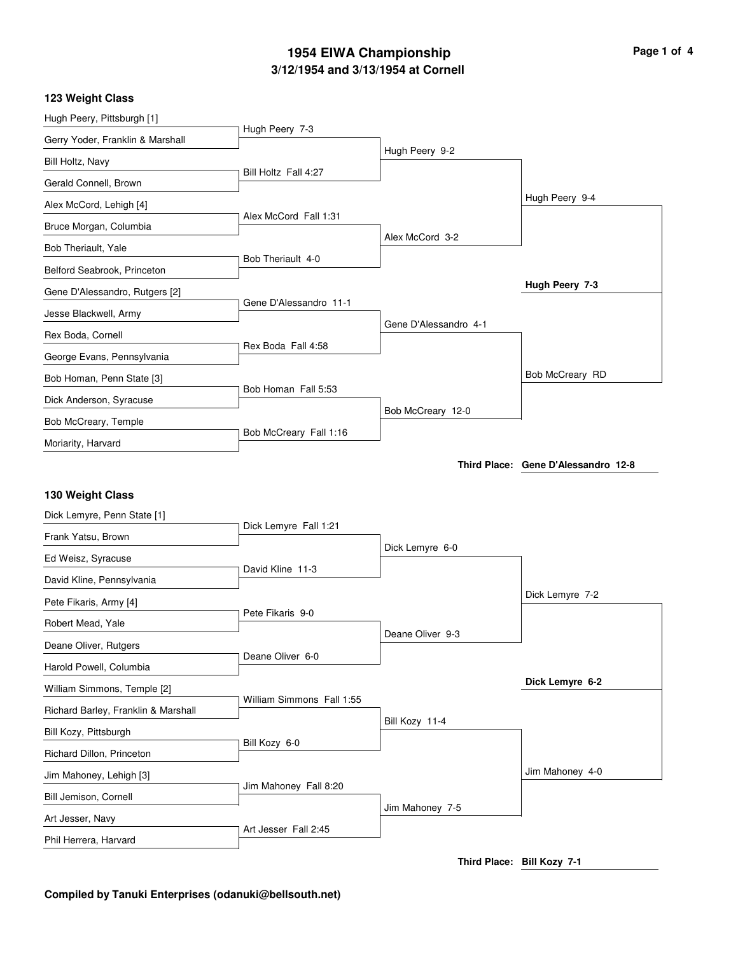# **3/12/1954 and 3/13/1954 at Cornell 1954 EIWA Championship Page 1 of 4**

#### **123 Weight Class**

| Hugh Peery, Pittsburgh [1]          |                           |                       |                                     |
|-------------------------------------|---------------------------|-----------------------|-------------------------------------|
| Gerry Yoder, Franklin & Marshall    | Hugh Peery 7-3            |                       |                                     |
| Bill Holtz, Navy                    |                           | Hugh Peery 9-2        |                                     |
| Gerald Connell, Brown               | Bill Holtz Fall 4:27      |                       |                                     |
| Alex McCord, Lehigh [4]             |                           |                       | Hugh Peery 9-4                      |
| Bruce Morgan, Columbia              | Alex McCord Fall 1:31     |                       |                                     |
| Bob Theriault, Yale                 |                           | Alex McCord 3-2       |                                     |
| Belford Seabrook, Princeton         | Bob Theriault 4-0         |                       |                                     |
| Gene D'Alessandro, Rutgers [2]      |                           |                       | Hugh Peery 7-3                      |
| Jesse Blackwell, Army               | Gene D'Alessandro 11-1    |                       |                                     |
| Rex Boda, Cornell                   |                           | Gene D'Alessandro 4-1 |                                     |
| George Evans, Pennsylvania          | Rex Boda Fall 4:58        |                       |                                     |
| Bob Homan, Penn State [3]           |                           |                       | Bob McCreary RD                     |
| Dick Anderson, Syracuse             | Bob Homan Fall 5:53       |                       |                                     |
| Bob McCreary, Temple                |                           | Bob McCreary 12-0     |                                     |
| Moriarity, Harvard                  | Bob McCreary Fall 1:16    |                       |                                     |
|                                     |                           |                       | Third Place: Gene D'Alessandro 12-8 |
| 130 Weight Class                    |                           |                       |                                     |
| Dick Lemyre, Penn State [1]         |                           |                       |                                     |
| Frank Yatsu, Brown                  | Dick Lemyre Fall 1:21     |                       |                                     |
| Ed Weisz, Syracuse                  |                           | Dick Lemyre 6-0       |                                     |
| David Kline, Pennsylvania           | David Kline 11-3          |                       |                                     |
| Pete Fikaris, Army [4]              |                           |                       | Dick Lemyre 7-2                     |
| Robert Mead, Yale                   | Pete Fikaris 9-0          |                       |                                     |
| Deane Oliver, Rutgers               |                           | Deane Oliver 9-3      |                                     |
| Harold Powell, Columbia             | Deane Oliver 6-0          |                       |                                     |
| William Simmons, Temple [2]         |                           |                       | Dick Lemyre 6-2                     |
|                                     | William Simmons Fall 1:55 |                       |                                     |
| Richard Barley, Franklin & Marshall |                           | Bill Kozy 11-4        |                                     |
| Bill Kozy, Pittsburgh               | Bill Kozy 6-0             |                       |                                     |
| Richard Dillon, Princeton           |                           |                       | Jim Mahoney 4-0                     |
| Jim Mahoney, Lehigh [3]             | Jim Mahoney Fall 8:20     |                       |                                     |
| Bill Jemison, Cornell               |                           | Jim Mahoney 7-5       |                                     |
| Art Jesser, Navy                    | Art Jesser Fall 2:45      |                       |                                     |

**Third Place: Bill Kozy 7-1**

## **Compiled by Tanuki Enterprises (odanuki@bellsouth.net)**

Phil Herrera, Harvard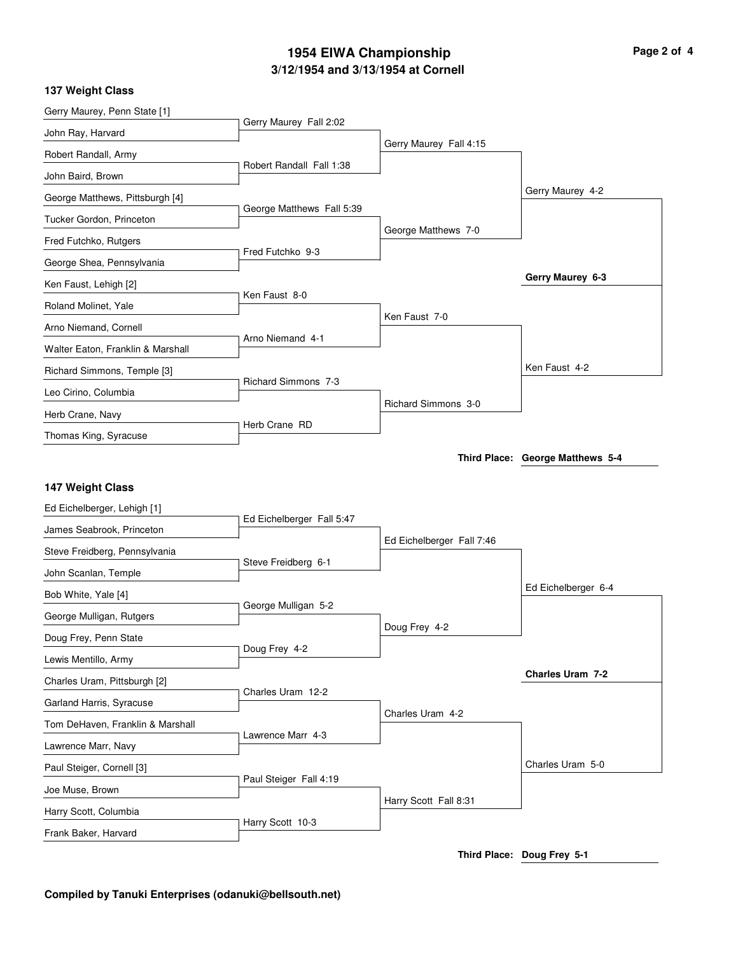# **3/12/1954 and 3/13/1954 at Cornell 1954 EIWA Championship Page 2 of 4**

## **137 Weight Class**

| Gerry Maurey, Penn State [1]                  |                            |                            |                                  |
|-----------------------------------------------|----------------------------|----------------------------|----------------------------------|
| John Ray, Harvard                             | Gerry Maurey Fall 2:02     |                            |                                  |
| Robert Randall, Army                          |                            | Gerry Maurey Fall 4:15     |                                  |
| John Baird, Brown                             | Robert Randall Fall 1:38   |                            |                                  |
| George Matthews, Pittsburgh [4]               |                            |                            | Gerry Maurey 4-2                 |
| Tucker Gordon, Princeton                      | George Matthews Fall 5:39  |                            |                                  |
| Fred Futchko, Rutgers                         |                            | George Matthews 7-0        |                                  |
| George Shea, Pennsylvania                     | Fred Futchko 9-3           |                            |                                  |
| Ken Faust, Lehigh [2]                         |                            |                            | Gerry Maurey 6-3                 |
| Roland Molinet, Yale                          | Ken Faust 8-0              |                            |                                  |
| Arno Niemand, Cornell                         |                            | Ken Faust 7-0              |                                  |
| Walter Eaton, Franklin & Marshall             | Arno Niemand 4-1           |                            |                                  |
| Richard Simmons, Temple [3]                   |                            |                            | Ken Faust 4-2                    |
| Leo Cirino, Columbia                          | <b>Richard Simmons 7-3</b> |                            |                                  |
| Herb Crane, Navy                              |                            | <b>Richard Simmons 3-0</b> |                                  |
| Thomas King, Syracuse                         | Herb Crane RD              |                            |                                  |
|                                               |                            |                            | Third Place: George Matthews 5-4 |
| 147 Weight Class                              |                            |                            |                                  |
|                                               |                            |                            |                                  |
|                                               |                            |                            |                                  |
| Ed Eichelberger, Lehigh [1]                   | Ed Eichelberger Fall 5:47  |                            |                                  |
| James Seabrook, Princeton                     |                            | Ed Eichelberger Fall 7:46  |                                  |
| Steve Freidberg, Pennsylvania                 | Steve Freidberg 6-1        |                            |                                  |
| John Scanlan, Temple                          |                            |                            | Ed Eichelberger 6-4              |
| Bob White, Yale [4]                           | George Mulligan 5-2        |                            |                                  |
| George Mulligan, Rutgers                      |                            | Doug Frey 4-2              |                                  |
| Doug Frey, Penn State                         | Doug Frey 4-2              |                            |                                  |
| Lewis Mentillo, Army                          |                            |                            | Charles Uram 7-2                 |
| Charles Uram, Pittsburgh [2]                  | Charles Uram 12-2          |                            |                                  |
| Garland Harris, Syracuse                      |                            | Charles Uram 4-2           |                                  |
| Tom DeHaven, Franklin & Marshall              | Lawrence Marr 4-3          |                            |                                  |
| Lawrence Marr, Navy                           |                            |                            | Charles Uram 5-0                 |
| Paul Steiger, Cornell [3]                     | Paul Steiger Fall 4:19     |                            |                                  |
| Joe Muse, Brown                               |                            | Harry Scott Fall 8:31      |                                  |
| Harry Scott, Columbia<br>Frank Baker, Harvard | Harry Scott 10-3           |                            |                                  |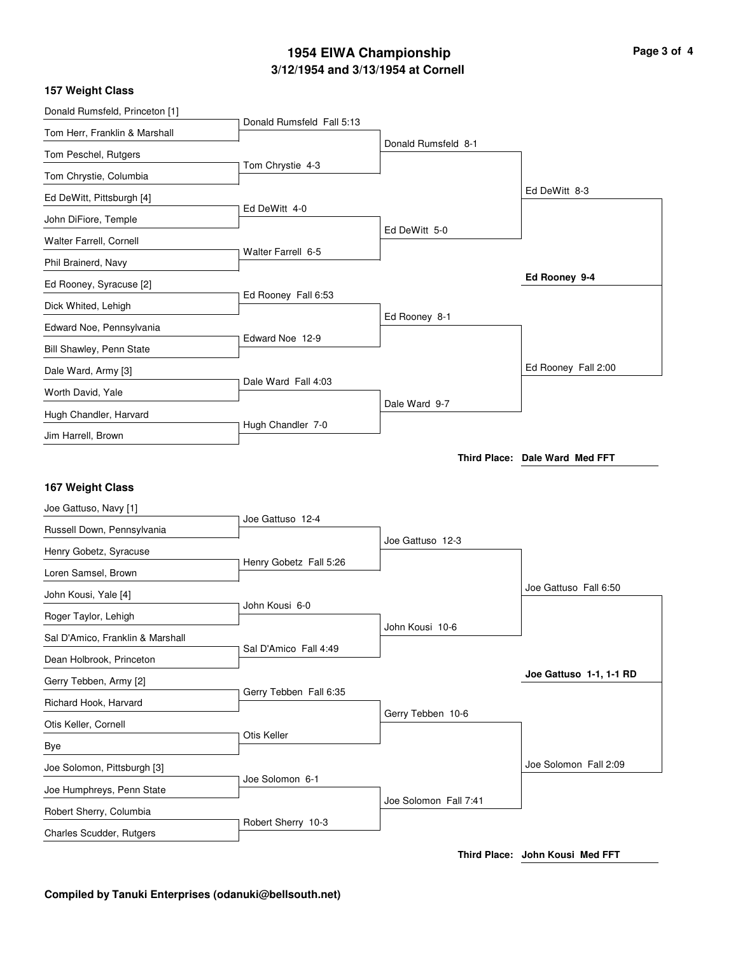# **3/12/1954 and 3/13/1954 at Cornell 1954 EIWA Championship Page 3 of 4**

## **157 Weight Class**

| Donald Rumsfeld, Princeton [1]                      |                           |                       |                                |
|-----------------------------------------------------|---------------------------|-----------------------|--------------------------------|
| Tom Herr, Franklin & Marshall                       | Donald Rumsfeld Fall 5:13 |                       |                                |
| Tom Peschel, Rutgers                                |                           | Donald Rumsfeld 8-1   |                                |
| Tom Chrystie, Columbia                              | Tom Chrystie 4-3          |                       |                                |
| Ed DeWitt, Pittsburgh [4]                           |                           |                       | Ed DeWitt 8-3                  |
| John DiFiore, Temple                                | Ed DeWitt 4-0             |                       |                                |
| Walter Farrell, Cornell                             |                           | Ed DeWitt 5-0         |                                |
| Phil Brainerd, Navy                                 | Walter Farrell 6-5        |                       |                                |
| Ed Rooney, Syracuse [2]                             |                           |                       | Ed Rooney 9-4                  |
| Dick Whited, Lehigh                                 | Ed Rooney Fall 6:53       |                       |                                |
| Edward Noe, Pennsylvania                            |                           | Ed Rooney 8-1         |                                |
| Bill Shawley, Penn State                            | Edward Noe 12-9           |                       |                                |
| Dale Ward, Army [3]                                 |                           |                       | Ed Rooney Fall 2:00            |
| Worth David, Yale                                   | Dale Ward Fall 4:03       |                       |                                |
| Hugh Chandler, Harvard                              |                           | Dale Ward 9-7         |                                |
| Jim Harrell, Brown                                  | Hugh Chandler 7-0         |                       |                                |
|                                                     |                           |                       | Third Place: Dale Ward Med FFT |
|                                                     |                           |                       |                                |
|                                                     |                           |                       |                                |
| 167 Weight Class                                    |                           |                       |                                |
| Joe Gattuso, Navy [1]                               | Joe Gattuso 12-4          |                       |                                |
| Russell Down, Pennsylvania                          |                           | Joe Gattuso 12-3      |                                |
| Henry Gobetz, Syracuse                              | Henry Gobetz Fall 5:26    |                       |                                |
| Loren Samsel, Brown                                 |                           |                       | Joe Gattuso Fall 6:50          |
| John Kousi, Yale [4]                                | John Kousi 6-0            |                       |                                |
| Roger Taylor, Lehigh                                |                           | John Kousi 10-6       |                                |
| Sal D'Amico, Franklin & Marshall                    | Sal D'Amico Fall 4:49     |                       |                                |
| Dean Holbrook, Princeton                            |                           |                       | Joe Gattuso 1-1, 1-1 RD        |
| Gerry Tebben, Army [2]                              | Gerry Tebben Fall 6:35    |                       |                                |
| Richard Hook, Harvard                               |                           | Gerry Tebben 10-6     |                                |
| Otis Keller, Cornell                                | Otis Keller               |                       |                                |
| Bye                                                 |                           |                       |                                |
| Joe Solomon, Pittsburgh [3]                         | Joe Solomon 6-1           |                       | Joe Solomon Fall 2:09          |
| Joe Humphreys, Penn State                           |                           | Joe Solomon Fall 7:41 |                                |
| Robert Sherry, Columbia<br>Charles Scudder, Rutgers | Robert Sherry 10-3        |                       |                                |

# **Compiled by Tanuki Enterprises (odanuki@bellsouth.net)**